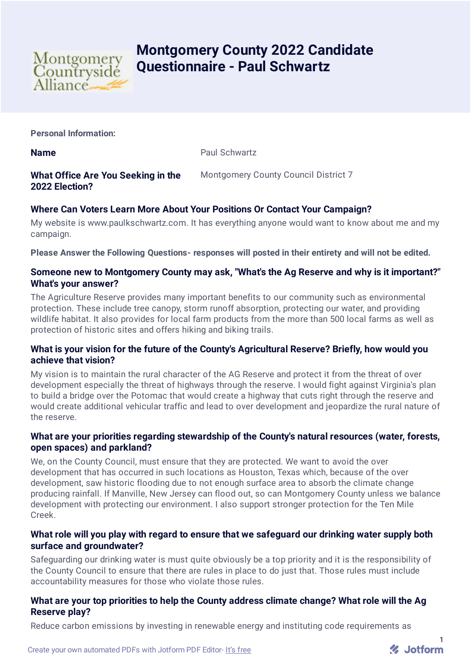

# **Montgomery County 2022 Candidate Questionnaire - Paul Schwartz**

**Personal Information:**

**Name** Paul Schwartz

#### **What Office Are You Seeking in the 2022 Election?** Montgomery County Council District 7

# **Where Can Voters Learn More About Your Positions Or Contact Your Campaign?**

My website is www.paulkschwartz.com. It has everything anyone would want to know about me and my campaign.

**Please Answer the Following Questions- responses will posted in their entirety and will not be edited.**

# **Someone new to Montgomery County may ask, "What's the Ag Reserve and why is it important?" What's your answer?**

The Agriculture Reserve provides many important benefits to our community such as environmental protection. These include tree canopy, storm runoff absorption, protecting our water, and providing wildlife habitat. It also provides for local farm products from the more than 500 local farms as well as protection of historic sites and offers hiking and biking trails.

# **What is your vision for the future of the County's Agricultural Reserve? Briefly, how would you achieve that vision?**

My vision is to maintain the rural character of the AG Reserve and protect it from the threat of over development especially the threat of highways through the reserve. I would fight against Virginia's plan to build a bridge over the Potomac that would create a highway that cuts right through the reserve and would create additional vehicular traffic and lead to over development and jeopardize the rural nature of the reserve.

# **What are your priorities regarding stewardship of the County's natural resources (water, forests, open spaces) and parkland?**

We, on the County Council, must ensure that they are protected. We want to avoid the over development that has occurred in such locations as Houston, Texas which, because of the over development, saw historic flooding due to not enough surface area to absorb the climate change producing rainfall. If Manville, New Jersey can flood out, so can Montgomery County unless we balance development with protecting our environment. I also support stronger protection for the Ten Mile Creek.

# **What role will you play with regard to ensure that we safeguard our drinking water supply both surface and groundwater?**

Safeguarding our drinking water is must quite obviously be a top priority and it is the responsibility of the County Council to ensure that there are rules in place to do just that. Those rules must include accountability measures for those who violate those rules.

# **What are your top priorities to help the County address climate change? What role will the Ag Reserve play?**

Reduce carbon emissions by investing in renewable energy and instituting code requirements as

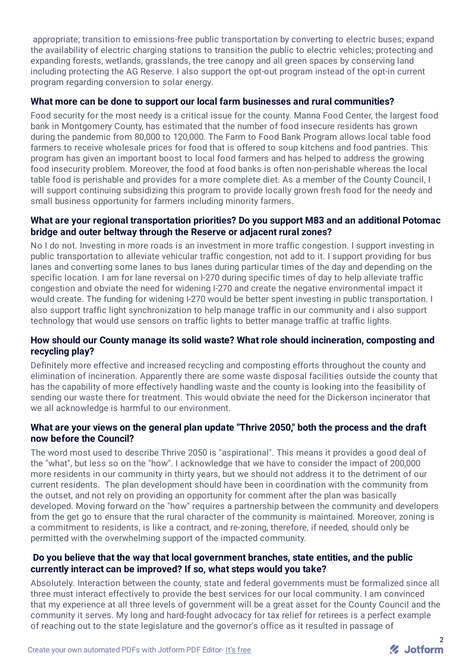appropriate; transition to emissions-free public transportation by converting to electric buses; expand the availability of electric charging stations to transition the public to electric vehicles; protecting and expanding forests, wetlands, grasslands, the tree canopy and all green spaces by conserving land including protecting the AG Reserve. I also support the opt-out program instead of the opt-in current program regarding conversion to solar energy.

#### **What more can be done to support our local farm businesses and rural communities?**

Food security for the most needy is a critical issue for the county. Manna Food Center, the largest food bank in Montgomery County, has estimated that the number of food insecure residents has grown during the pandemic from 80,000 to 120,000. The Farm to Food Bank Program allows local table food farmers to receive wholesale prices for food that is offered to soup kitchens and food pantries. This program has given an important boost to local food farmers and has helped to address the growing food insecurity problem. Moreover, the food at food banks is often non-perishable whereas the local table food is perishable and provides for a more complete diet. As a member of the County Council, I will support continuing subsidizing this program to provide locally grown fresh food for the needy and small business opportunity for farmers including minority farmers.

# **What are your regional transportation priorities? Do you support M83 and an additional Potomac bridge and outer beltway through the Reserve or adjacent rural zones?**

No I do not. Investing in more roads is an investment in more traffic congestion. I support investing in public transportation to alleviate vehicular traffic congestion, not add to it. I support providing for bus lanes and converting some lanes to bus lanes during particular times of the day and depending on the specific location. I am for lane reversal on I-270 during specific times of day to help alleviate traffic congestion and obviate the need for widening I-270 and create the negative environmental impact it would create. The funding for widening I-270 would be better spent investing in public transportation. I also support traffic light synchronization to help manage traffic in our community and i also support technology that would use sensors on traffic lights to better manage traffic at traffic lights.

# **How should our County manage its solid waste? What role should incineration, composting and recycling play?**

Definitely more effective and increased recycling and composting efforts throughout the county and elimination of incineration. Apparently there are some waste disposal facilities outside the county that has the capability of more effectively handling waste and the county is looking into the feasibility of sending our waste there for treatment. This would obviate the need for the Dickerson incinerator that we all acknowledge is harmful to our environment.

# **What are your views on the general plan update "Thrive 2050," both the process and the draft now before the Council?**

The word most used to describe Thrive 2050 is "aspirational". This means it provides a good deal of the "what", but less so on the "how". I acknowledge that we have to consider the impact of 200,000 more residents in our community in thirty years, but we should not address it to the detriment of our current residents. The plan development should have been in coordination with the community from the outset, and not rely on providing an opportunity for comment after the plan was basically developed. Moving forward on the "how" requires a partnership between the community and developers from the get go to ensure that the rural character of the community is maintained. Moreover, zoning is a commitment to residents, is like a contract, and re-zoning, therefore, if needed, should only be permitted with the overwhelming support of the impacted community.

# **Do you believe that the way that local government branches, state entities, and the public currently interact can be improved? If so, what steps would you take?**

Absolutely. Interaction between the county, state and federal governments must be formalized since all three must interact effectively to provide the best services for our local community. I am convinced that my experience at all three levels of government will be a great asset for the County Council and the community it serves. My long and hard-fought advocacy for tax relief for retirees is a perfect example of reaching out to the state legislature and the governor's office as it resulted in passage of